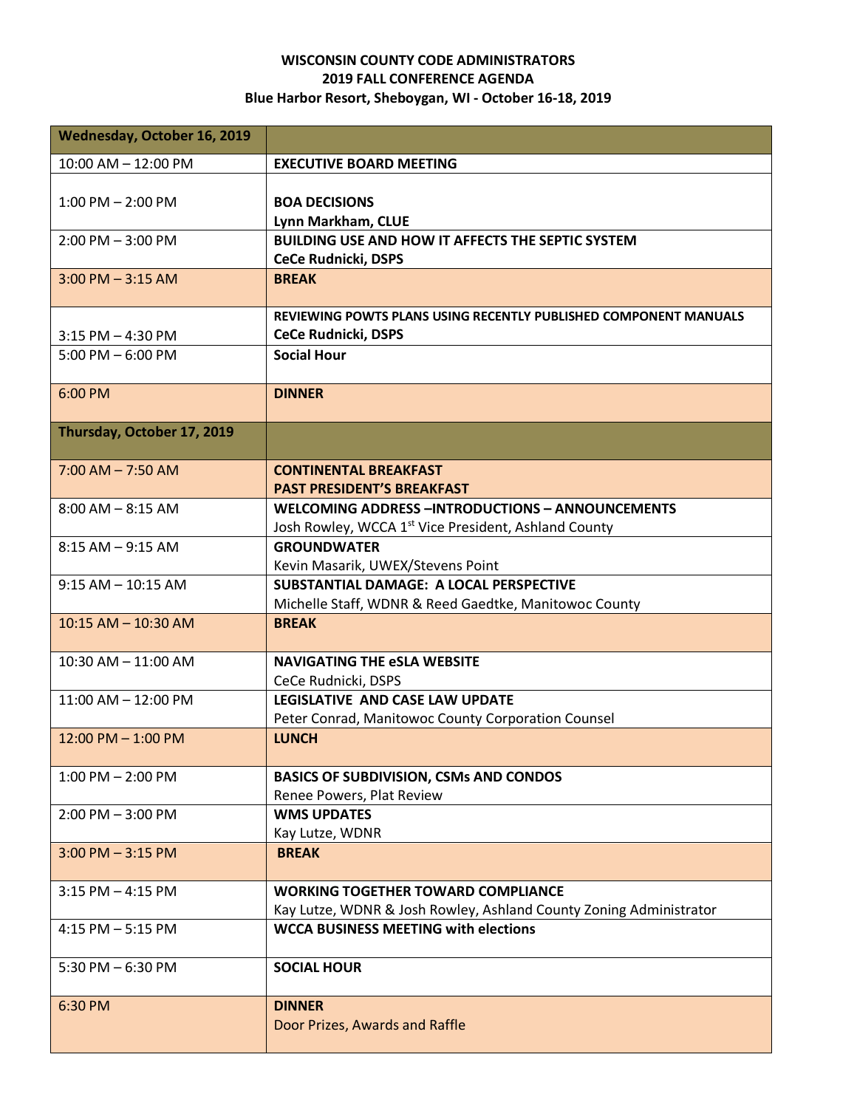## **WISCONSIN COUNTY CODE ADMINISTRATORS 2019 FALL CONFERENCE AGENDA Blue Harbor Resort, Sheboygan, WI - October 16-18, 2019**

| Wednesday, October 16, 2019 |                                                                                                                             |
|-----------------------------|-----------------------------------------------------------------------------------------------------------------------------|
| 10:00 AM - 12:00 PM         | <b>EXECUTIVE BOARD MEETING</b>                                                                                              |
| $1:00$ PM $- 2:00$ PM       | <b>BOA DECISIONS</b><br>Lynn Markham, CLUE                                                                                  |
| $2:00$ PM $-3:00$ PM        | <b>BUILDING USE AND HOW IT AFFECTS THE SEPTIC SYSTEM</b><br><b>CeCe Rudnicki, DSPS</b>                                      |
| $3:00$ PM $-3:15$ AM        | <b>BREAK</b>                                                                                                                |
| $3:15$ PM $-4:30$ PM        | REVIEWING POWTS PLANS USING RECENTLY PUBLISHED COMPONENT MANUALS<br><b>CeCe Rudnicki, DSPS</b>                              |
| $5:00$ PM $-6:00$ PM        | <b>Social Hour</b>                                                                                                          |
| 6:00 PM                     | <b>DINNER</b>                                                                                                               |
| Thursday, October 17, 2019  |                                                                                                                             |
| $7:00$ AM $- 7:50$ AM       | <b>CONTINENTAL BREAKFAST</b><br><b>PAST PRESIDENT'S BREAKFAST</b>                                                           |
| $8:00$ AM $-$ 8:15 AM       | <b>WELCOMING ADDRESS -INTRODUCTIONS - ANNOUNCEMENTS</b><br>Josh Rowley, WCCA 1 <sup>st</sup> Vice President, Ashland County |
| $8:15$ AM $-$ 9:15 AM       | <b>GROUNDWATER</b><br>Kevin Masarik, UWEX/Stevens Point                                                                     |
| $9:15 AM - 10:15 AM$        | SUBSTANTIAL DAMAGE: A LOCAL PERSPECTIVE<br>Michelle Staff, WDNR & Reed Gaedtke, Manitowoc County                            |
| $10:15$ AM $- 10:30$ AM     | <b>BREAK</b>                                                                                                                |
| $10:30$ AM $- 11:00$ AM     | <b>NAVIGATING THE eSLA WEBSITE</b><br>CeCe Rudnicki, DSPS                                                                   |
| 11:00 AM - 12:00 PM         | LEGISLATIVE AND CASE LAW UPDATE<br>Peter Conrad, Manitowoc County Corporation Counsel                                       |
| $12:00$ PM $- 1:00$ PM      | <b>LUNCH</b>                                                                                                                |
| $1:00$ PM $- 2:00$ PM       | <b>BASICS OF SUBDIVISION, CSMs AND CONDOS</b><br>Renee Powers, Plat Review                                                  |
| $2:00$ PM $-3:00$ PM        | <b>WMS UPDATES</b><br>Kay Lutze, WDNR                                                                                       |
| $3:00$ PM $-3:15$ PM        | <b>BREAK</b>                                                                                                                |
| $3:15$ PM $-$ 4:15 PM       | <b>WORKING TOGETHER TOWARD COMPLIANCE</b><br>Kay Lutze, WDNR & Josh Rowley, Ashland County Zoning Administrator             |
| $4:15$ PM $-5:15$ PM        | <b>WCCA BUSINESS MEETING with elections</b>                                                                                 |
| 5:30 PM $-6:30$ PM          | <b>SOCIAL HOUR</b>                                                                                                          |
| 6:30 PM                     | <b>DINNER</b><br>Door Prizes, Awards and Raffle                                                                             |